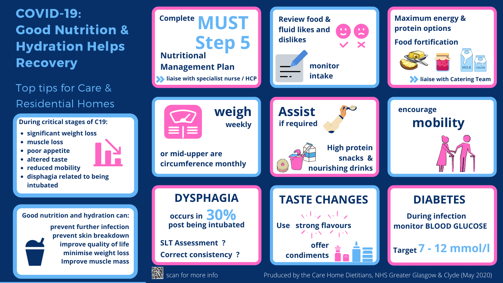- **significant weight loss**
- **muscle loss**
- **poor appetite**

**altered taste**



## COVID-19: Good Nutrition & Hydration Helps **Recovery**

- **reduced mobility**
- **disphagia related to being intubated**

#### **During critical stages of C19:**

### Top tips for Care & Residential Homes

**Good nutrition and hydration can:**

**prevent further infection prevent skin breakdown improve quality of life minimise weight loss Improve muscle mass**

Pruduced by the Care Home Dietitians, NHS Greater Glasgow & Clyde (May 2020)